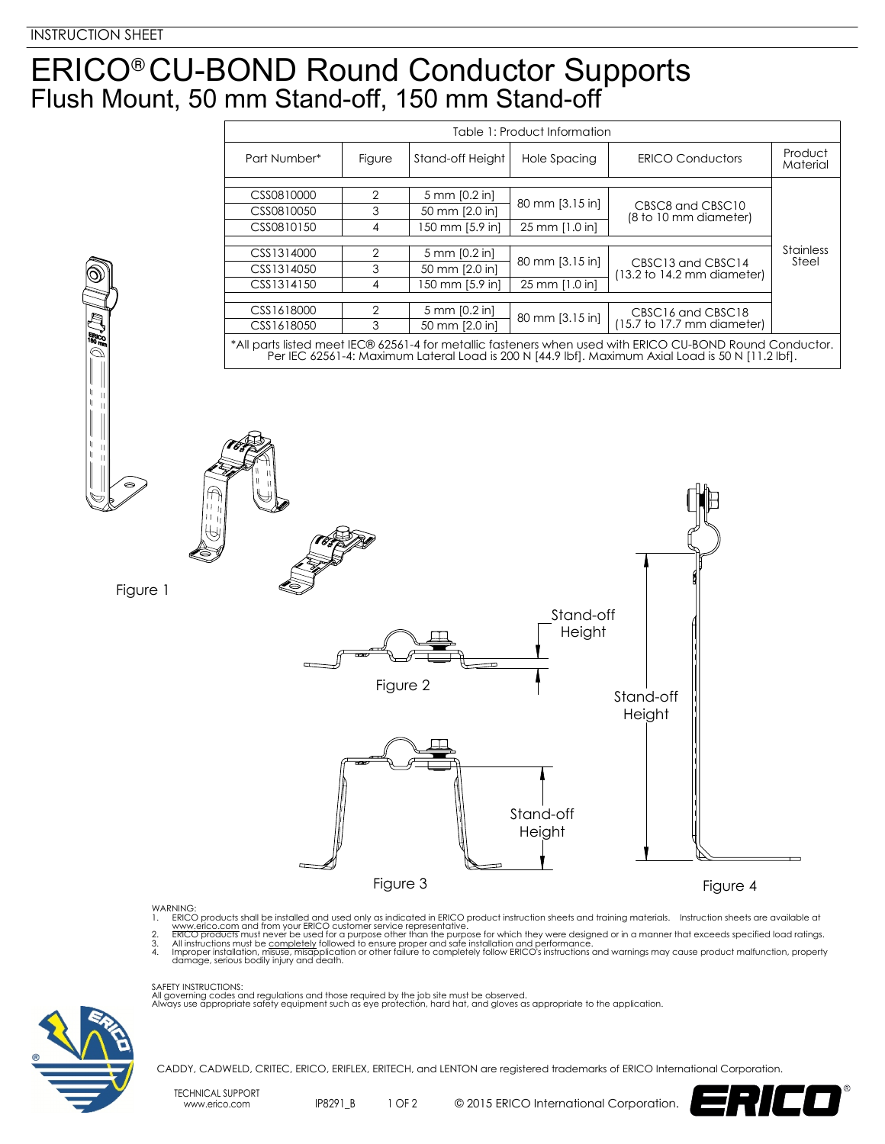## ERICO<sup>®</sup> CU-BOND Round Conductor Supports Flush Mount, 50 mm Stand-off, 150 mm Stand-off ®

| Table 1: Product Information                                                                                                                                                                                  |               |                  |                 |                                                                    |                           |
|---------------------------------------------------------------------------------------------------------------------------------------------------------------------------------------------------------------|---------------|------------------|-----------------|--------------------------------------------------------------------|---------------------------|
| Part Number*                                                                                                                                                                                                  | Figure        | Stand-off Height | Hole Spacing    | <b>ERICO Conductors</b>                                            | Product<br>Material       |
|                                                                                                                                                                                                               |               |                  |                 |                                                                    |                           |
| CSS0810000                                                                                                                                                                                                    | 2             | 5 mm [0.2 in]    | 80 mm [3.15 in] | CBSC8 and CBSC10<br>(8 to 10 mm diameter)                          |                           |
| CSS0810050                                                                                                                                                                                                    | 3             | 50 mm [2.0 in]   |                 |                                                                    |                           |
| CSS0810150                                                                                                                                                                                                    | 4             | 150 mm [5.9 in]  | 25 mm [1.0 in]  |                                                                    |                           |
|                                                                                                                                                                                                               |               |                  |                 |                                                                    |                           |
| CSS1314000                                                                                                                                                                                                    | 2             | 5 mm [0.2 in]    | 80 mm [3.15 in] | CBSC13 and CBSC14<br>$(13.2 \text{ to } 14.2 \text{ mm diameter})$ | <b>Stainless</b><br>Steel |
| CSS1314050                                                                                                                                                                                                    | 3             | 50 mm [2.0 in]   |                 |                                                                    |                           |
| CSS1314150                                                                                                                                                                                                    | 4             | 150 mm [5.9 in]  | 25 mm [1.0 in]  |                                                                    |                           |
|                                                                                                                                                                                                               |               |                  |                 |                                                                    |                           |
| CSS1618000                                                                                                                                                                                                    | $\mathcal{P}$ | 5 mm [0.2 in]    | 80 mm [3.15 in] | CBSC16 and CBSC18<br>$(15.7)$ to 17.7 mm diameter)                 |                           |
| CSS1618050                                                                                                                                                                                                    | 3             | 50 mm [2.0 in]   |                 |                                                                    |                           |
| *All parts listed meet IEC® 62561-4 for metallic fasteners when used with ERICO CU-BOND Round Conductor.<br>Per IEC 62561-4: Maximum Lateral Load is 200 N [44.9 lbf]. Maximum Axial Load is 50 N [11.2 lbf]. |               |                  |                 |                                                                    |                           |

Figure 1





## WARNING:

- 
- 
- 1. ERICO products shall be installed and used only as indicated in ERICO product instruction sheets and training materials. Instruction sheets are available at<br>www.erico.com and from your ERICO customer service representat



SAFETY INSTRUCTIONS:<br>All governing codes and regulations and those required by the job site must be observed.<br>Always use appropriate safety equipment such as eye protection, hard hat, and gloves as appropriate to the appli



CADDY, CADWELD, CRITEC, ERICO, ERIFLEX, ERITECH, and LENTON are registered trademarks of ERICO International Corporation.